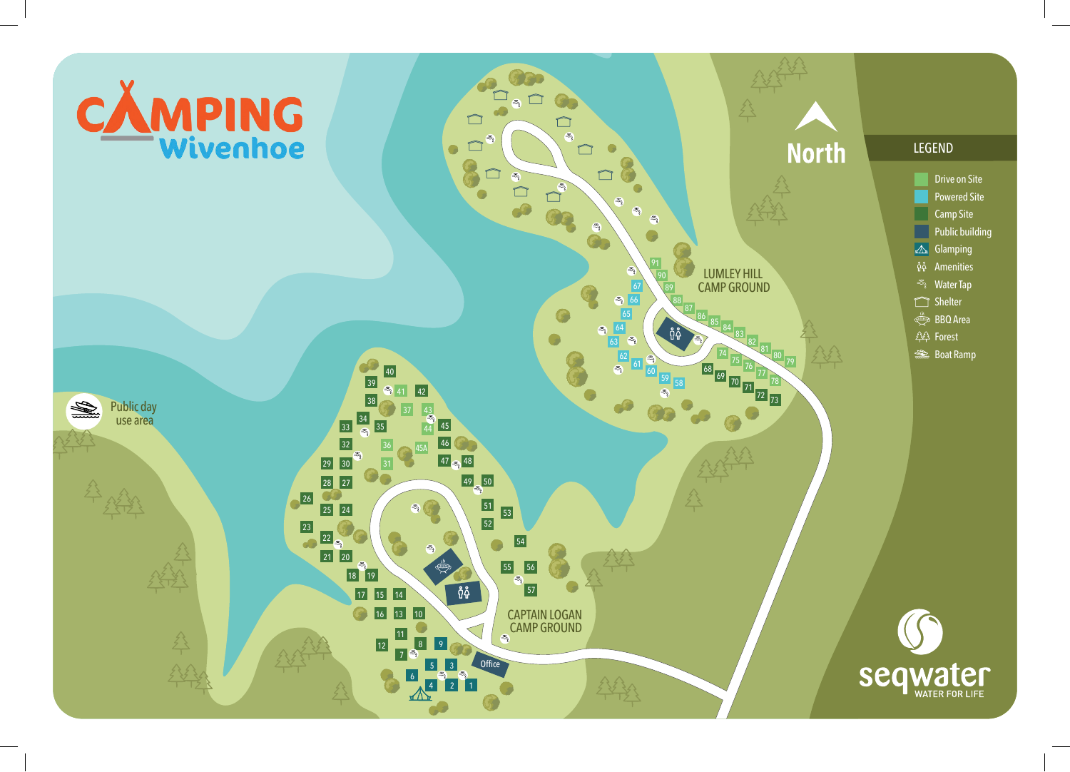